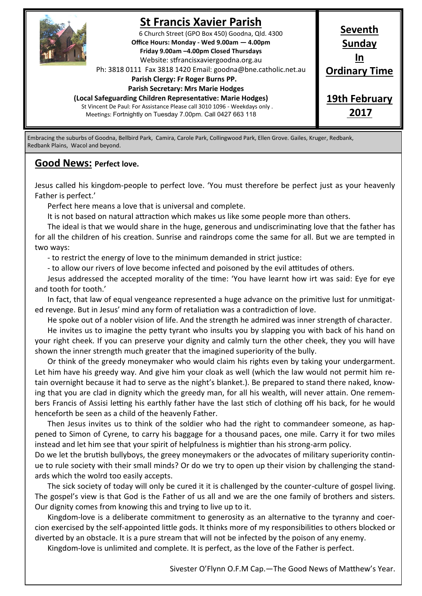

# **St Francis Xavier Parish**

6 Church Street (GPO Box 450) Goodna, Qld. 4300 **Office Hours: Monday - Wed 9.00am — 4.00pm Friday 9.00am –4.00pm Closed Thursdays**  Website: stfrancisxaviergoodna.org.au

Ph: 3818 0111 Fax 3818 1420 Email: goodna@bne.catholic.net.au

 **Parish Clergy: Fr Roger Burns PP.** 

#### **Parish Secretary: Mrs Marie Hodges**

**(Local Safeguarding Children Representative: Marie Hodges)**

St Vincent De Paul: For Assistance Please call 3010 1096 - Weekdays only . Meetings: Fortnightly on Tuesday 7.00pm. Call 0427 663 118

**Sunday In Ordinary Time 19th February**

**Seventh**

**2017**

Embracing the suburbs of Goodna, Bellbird Park, Camira, Carole Park, Collingwood Park, Ellen Grove. Gailes, Kruger, Redbank, Redbank Plains, Wacol and beyond.

### **Good News: Perfect love.**

Jesus called his kingdom-people to perfect love. 'You must therefore be perfect just as your heavenly Father is perfect.'

Perfect here means a love that is universal and complete.

It is not based on natural attraction which makes us like some people more than others.

The ideal is that we would share in the huge, generous and undiscriminating love that the father has for all the children of his creation. Sunrise and raindrops come the same for all. But we are tempted in two ways:

- to restrict the energy of love to the minimum demanded in strict justice:

- to allow our rivers of love become infected and poisoned by the evil attitudes of others.

Jesus addressed the accepted morality of the time: 'You have learnt how irt was said: Eye for eye and tooth for tooth.'

In fact, that law of equal vengeance represented a huge advance on the primitive lust for unmitigated revenge. But in Jesus' mind any form of retaliation was a contradiction of love.

He spoke out of a nobler vision of life. And the strength he admired was inner strength of character. He invites us to imagine the petty tyrant who insults you by slapping you with back of his hand on your right cheek. If you can preserve your dignity and calmly turn the other cheek, they you will have shown the inner strength much greater that the imagined superiority of the bully.

Or think of the greedy moneymaker who would claim his rights even by taking your undergarment. Let him have his greedy way. And give him your cloak as well (which the law would not permit him retain overnight because it had to serve as the night's blanket.). Be prepared to stand there naked, knowing that you are clad in dignity which the greedy man, for all his wealth, will never attain. One remembers Francis of Assisi letting his earthly father have the last stich of clothing off his back, for he would henceforth be seen as a child of the heavenly Father.

Then Jesus invites us to think of the soldier who had the right to commandeer someone, as happened to Simon of Cyrene, to carry his baggage for a thousand paces, one mile. Carry it for two miles instead and let him see that your spirit of helpfulness is mightier than his strong-arm policy.

Do we let the brutish bullyboys, the greey moneymakers or the advocates of military superiority continue to rule society with their small minds? Or do we try to open up their vision by challenging the standards which the wolrd too easily accepts.

The sick society of today will only be cured it it is challenged by the counter-culture of gospel living. The gospel's view is that God is the Father of us all and we are the one family of brothers and sisters. Our dignity comes from knowing this and trying to live up to it.

Kingdom-love is a deliberate commitment to generosity as an alternative to the tyranny and coercion exercised by the self-appointed little gods. It thinks more of my responsibilities to others blocked or diverted by an obstacle. It is a pure stream that will not be infected by the poison of any enemy.

Kingdom-love is unlimited and complete. It is perfect, as the love of the Father is perfect.

Sivester O'Flynn O.F.M Cap.—The Good News of Matthew's Year.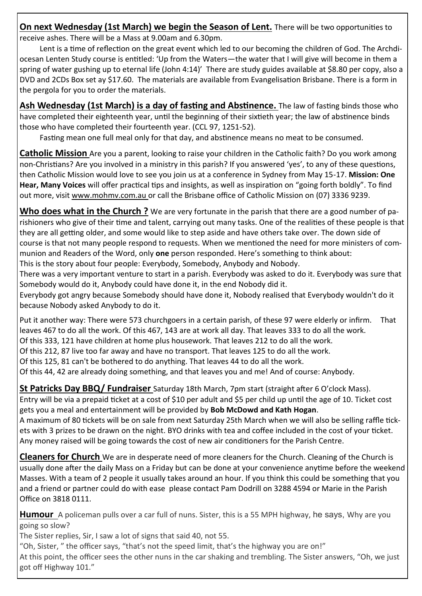**On next Wednesday (1st March) we begin the Season of Lent.** There will be two opportunities to receive ashes. There will be a Mass at 9.00am and 6.30pm.

Lent is a time of reflection on the great event which led to our becoming the children of God. The Archdiocesan Lenten Study course is entitled: 'Up from the Waters—the water that I will give will become in them a spring of water gushing up to eternal life (John 4:14)' There are study guides available at \$8.80 per copy, also a DVD and 2CDs Box set ay \$17.60. The materials are available from Evangelisation Brisbane. There is a form in the pergola for you to order the materials.

**Ash Wednesday (1st March) is a day of fasting and Abstinence.** The law of fasting binds those who have completed their eighteenth year, until the beginning of their sixtieth year; the law of abstinence binds those who have completed their fourteenth year. (CCL 97, 1251-52).

Fasting mean one full meal only for that day, and abstinence means no meat to be consumed.

**Catholic Mission** Are you a parent, looking to raise your children in the Catholic faith? Do you work among non-Christians? Are you involved in a ministry in this parish? If you answered 'yes', to any of these questions, then Catholic Mission would love to see you join us at a conference in Sydney from May 15-17. **Mission: One Hear, Many Voices** will offer practical tips and insights, as well as inspiration on "going forth boldly". To find out more, visit www.mohmv.com.au or call the Brisbane office of Catholic Mission on (07) 3336 9239.

**Who does what in the Church ?** We are very fortunate in the parish that there are a good number of parishioners who give of their time and talent, carrying out many tasks. One of the realities of these people is that they are all getting older, and some would like to step aside and have others take over. The down side of course is that not many people respond to requests. When we mentioned the need for more ministers of communion and Readers of the Word, only **one** person responded. Here's something to think about: This is the story about four people: Everybody, Somebody, Anybody and Nobody.

There was a very important venture to start in a parish. Everybody was asked to do it. Everybody was sure that

Somebody would do it, Anybody could have done it, in the end Nobody did it. Everybody got angry because Somebody should have done it, Nobody realised that Everybody wouldn't do it because Nobody asked Anybody to do it.

Put it another way: There were 573 churchgoers in a certain parish, of these 97 were elderly or infirm. That leaves 467 to do all the work. Of this 467, 143 are at work all day. That leaves 333 to do all the work.

Of this 333, 121 have children at home plus housework. That leaves 212 to do all the work.

Of this 212, 87 live too far away and have no transport. That leaves 125 to do all the work.

Of this 125, 81 can't be bothered to do anything. That leaves 44 to do all the work.

Of this 44, 42 are already doing something, and that leaves you and me! And of course: Anybody.

**St Patricks Day BBQ/ Fundraiser** Saturday 18th March, 7pm start (straight after 6 O'clock Mass).

Entry will be via a prepaid ticket at a cost of \$10 per adult and \$5 per child up until the age of 10. Ticket cost gets you a meal and entertainment will be provided by **Bob McDowd and Kath Hogan**.

A maximum of 80 tickets will be on sale from next Saturday 25th March when we will also be selling raffle tickets with 3 prizes to be drawn on the night. BYO drinks with tea and coffee included in the cost of your ticket. Any money raised will be going towards the cost of new air conditioners for the Parish Centre.

**Cleaners for Church** We are in desperate need of more cleaners for the Church. Cleaning of the Church is usually done after the daily Mass on a Friday but can be done at your convenience anytime before the weekend Masses. With a team of 2 people it usually takes around an hour. If you think this could be something that you and a friend or partner could do with ease please contact Pam Dodrill on 3288 4594 or Marie in the Parish Office on 3818 0111.

**Humour** A policeman pulls over a car full of nuns. Sister, this is a 55 MPH highway, he says, Why are you going so slow?

The Sister replies, Sir, I saw a lot of signs that said 40, not 55.

"Oh, Sister, " the officer says, "that's not the speed limit, that's the highway you are on!" At this point, the officer sees the other nuns in the car shaking and trembling. The Sister answers, "Oh, we just got off Highway 101."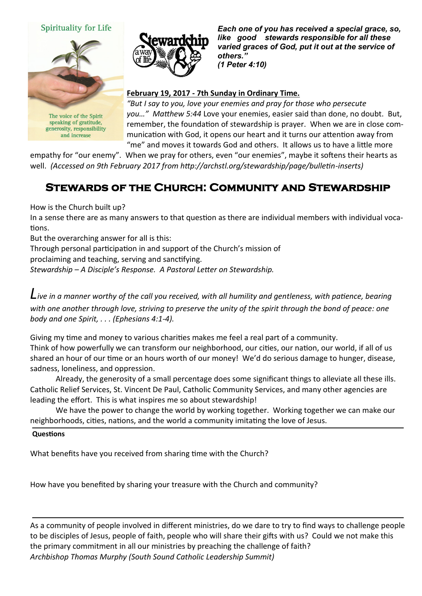#### Spirituality for Life



The voice of the Spirit speaking of gratitude, generosity, responsibility and increase



*Each one of you has received a special grace, so, like good stewards responsible for all these varied graces of God, put it out at the service of others." (1 Peter 4:10)* 

#### **February 19, 2017 - 7th Sunday in Ordinary Time.**

*"But I say to you, love your enemies and pray for those who persecute you…" Matthew 5:44* Love your enemies, easier said than done, no doubt. But, remember, the foundation of stewardship is prayer. When we are in close communication with God, it opens our heart and it turns our attention away from "me" and moves it towards God and others. It allows us to have a little more

empathy for "our enemy". When we pray for others, even "our enemies", maybe it softens their hearts as well. *(Accessed on 9th February 2017 from http://archstl.org/stewardship/page/bulletin-inserts)*

## **Stewards of the Church: Community and Stewardship**

How is the Church built up?

In a sense there are as many answers to that question as there are individual members with individual vocations.

But the overarching answer for all is this:

Through personal participation in and support of the Church's mission of

proclaiming and teaching, serving and sanctifying.

*Stewardship – A Disciple's Response. A Pastoral Letter on Stewardship.*

*Live in a manner worthy of the call you received, with all humility and gentleness, with patience, bearing with one another through love, striving to preserve the unity of the spirit through the bond of peace: one body and one Spirit, . . . (Ephesians 4:1-4).*

Giving my time and money to various charities makes me feel a real part of a community. Think of how powerfully we can transform our neighborhood, our cities, our nation, our world, if all of us shared an hour of our time or an hours worth of our money! We'd do serious damage to hunger, disease, sadness, loneliness, and oppression.

Already, the generosity of a small percentage does some significant things to alleviate all these ills. Catholic Relief Services, St. Vincent De Paul, Catholic Community Services, and many other agencies are leading the effort. This is what inspires me so about stewardship!

We have the power to change the world by working together. Working together we can make our neighborhoods, cities, nations, and the world a community imitating the love of Jesus.

#### **Questions**

What benefits have you received from sharing time with the Church?

How have you benefited by sharing your treasure with the Church and community?

As a community of people involved in different ministries, do we dare to try to find ways to challenge people to be disciples of Jesus, people of faith, people who will share their gifts with us? Could we not make this the primary commitment in all our ministries by preaching the challenge of faith? *Archbishop Thomas Murphy (South Sound Catholic Leadership Summit)*